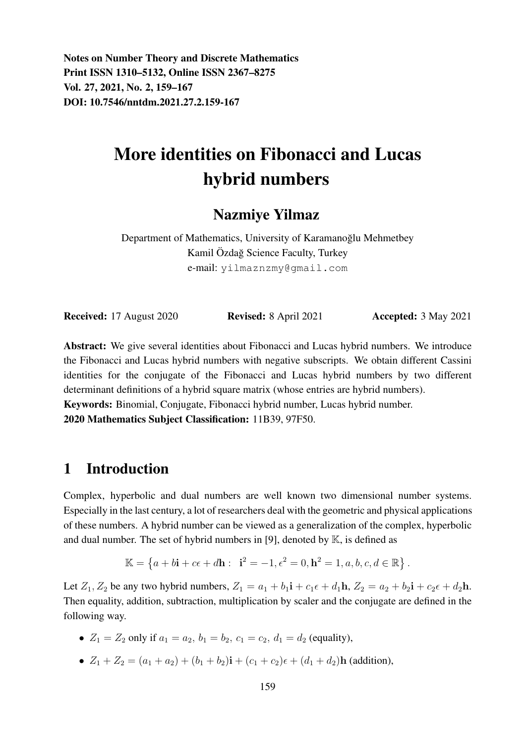Notes on Number Theory and Discrete Mathematics Print ISSN 1310–5132, Online ISSN 2367–8275 Vol. 27, 2021, No. 2, 159–167 DOI: 10.7546/nntdm.2021.27.2.159-167

# More identities on Fibonacci and Lucas hybrid numbers

## Nazmiye Yilmaz

Department of Mathematics, University of Karamanoğlu Mehmetbey Kamil Özdağ Science Faculty, Turkey e-mail: yilmaznzmy@gmail.com

**Received:** 17 August 2020 **Revised:** 8 April 2021 **Accepted:** 3 May 2021

Abstract: We give several identities about Fibonacci and Lucas hybrid numbers. We introduce the Fibonacci and Lucas hybrid numbers with negative subscripts. We obtain different Cassini identities for the conjugate of the Fibonacci and Lucas hybrid numbers by two different determinant definitions of a hybrid square matrix (whose entries are hybrid numbers). Keywords: Binomial, Conjugate, Fibonacci hybrid number, Lucas hybrid number.

2020 Mathematics Subject Classification: 11B39, 97F50.

## 1 Introduction

Complex, hyperbolic and dual numbers are well known two dimensional number systems. Especially in the last century, a lot of researchers deal with the geometric and physical applications of these numbers. A hybrid number can be viewed as a generalization of the complex, hyperbolic and dual number. The set of hybrid numbers in [9], denoted by  $K$ , is defined as

$$
\mathbb{K} = \left\{ a + b\mathbf{i} + c\epsilon + d\mathbf{h} : \ \mathbf{i}^2 = -1, \epsilon^2 = 0, \mathbf{h}^2 = 1, a, b, c, d \in \mathbb{R} \right\}.
$$

Let  $Z_1, Z_2$  be any two hybrid numbers,  $Z_1 = a_1 + b_1 \mathbf{i} + c_1 \epsilon + d_1 \mathbf{h}$ ,  $Z_2 = a_2 + b_2 \mathbf{i} + c_2 \epsilon + d_2 \mathbf{h}$ . Then equality, addition, subtraction, multiplication by scaler and the conjugate are defined in the following way.

- $Z_1 = Z_2$  only if  $a_1 = a_2$ ,  $b_1 = b_2$ ,  $c_1 = c_2$ ,  $d_1 = d_2$  (equality),
- $Z_1 + Z_2 = (a_1 + a_2) + (b_1 + b_2)i + (c_1 + c_2)\epsilon + (d_1 + d_2)h$  (addition),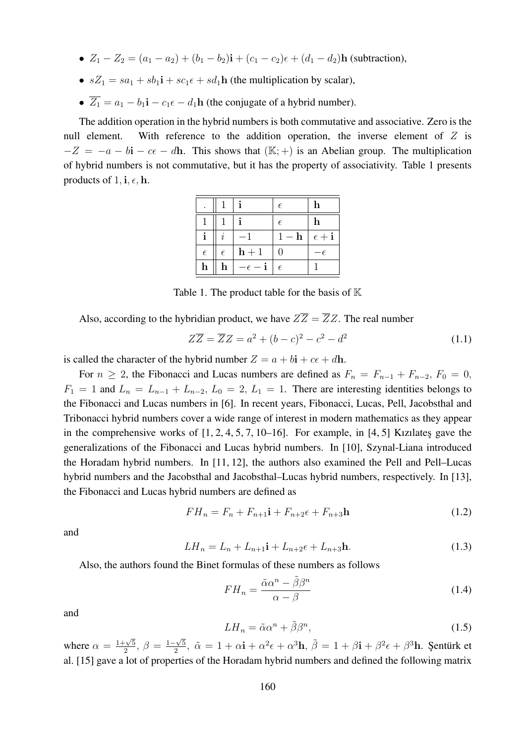- $Z_1 Z_2 = (a_1 a_2) + (b_1 b_2)i + (c_1 c_2)\epsilon + (d_1 d_2)h$  (subtraction),
- $sZ_1 = sa_1 + sb_1\mathbf{i} + sc_1\epsilon + sd_1\mathbf{h}$  (the multiplication by scalar),
- $\overline{Z_1} = a_1 b_1 \mathbf{i} c_1 \epsilon d_1 \mathbf{h}$  (the conjugate of a hybrid number).

The addition operation in the hybrid numbers is both commutative and associative. Zero is the null element. With reference to the addition operation, the inverse element of  $Z$  is  $-Z = -a - bi - ce - dh$ . This shows that  $(\mathbb{K}; +)$  is an Abelian group. The multiplication of hybrid numbers is not commutative, but it has the property of associativity. Table 1 presents products of 1, i,  $\epsilon$ , h.

|            |             |                          | $\epsilon$                | $\mathbf h$ |
|------------|-------------|--------------------------|---------------------------|-------------|
|            |             |                          | $\epsilon$                | h           |
|            | i.          | $-1$                     | $1 - h \mid \epsilon + i$ |             |
| $\epsilon$ | $\epsilon$  | $h + 1$                  | 0                         | $-\epsilon$ |
| h          | $\mathbf h$ | $-\epsilon - \mathbf{i}$ | $\epsilon$                |             |

Table 1. The product table for the basis of  $K$ 

Also, according to the hybridian product, we have  $Z\overline{Z} = \overline{Z}Z$ . The real number

$$
Z\overline{Z} = \overline{Z}Z = a^2 + (b - c)^2 - c^2 - d^2 \tag{1.1}
$$

is called the character of the hybrid number  $Z = a + bi + c\epsilon + d\mathbf{h}$ .

For  $n \ge 2$ , the Fibonacci and Lucas numbers are defined as  $F_n = F_{n-1} + F_{n-2}$ ,  $F_0 = 0$ ,  $F_1 = 1$  and  $L_n = L_{n-1} + L_{n-2}$ ,  $L_0 = 2$ ,  $L_1 = 1$ . There are interesting identities belongs to the Fibonacci and Lucas numbers in [6]. In recent years, Fibonacci, Lucas, Pell, Jacobsthal and Tribonacci hybrid numbers cover a wide range of interest in modern mathematics as they appear in the comprehensive works of  $[1, 2, 4, 5, 7, 10–16]$ . For example, in  $[4, 5]$  Kizilates gave the generalizations of the Fibonacci and Lucas hybrid numbers. In [10], Szynal-Liana introduced the Horadam hybrid numbers. In [11, 12], the authors also examined the Pell and Pell–Lucas hybrid numbers and the Jacobsthal and Jacobsthal–Lucas hybrid numbers, respectively. In [13], the Fibonacci and Lucas hybrid numbers are defined as

$$
FH_n = F_n + F_{n+1}\mathbf{i} + F_{n+2}\epsilon + F_{n+3}\mathbf{h}
$$
\n
$$
(1.2)
$$

and

$$
LH_n = L_n + L_{n+1}\mathbf{i} + L_{n+2}\epsilon + L_{n+3}\mathbf{h}.\tag{1.3}
$$

Also, the authors found the Binet formulas of these numbers as follows

$$
FH_n = \frac{\tilde{\alpha}\alpha^n - \tilde{\beta}\beta^n}{\alpha - \beta} \tag{1.4}
$$

and

$$
LH_n = \tilde{\alpha}\alpha^n + \tilde{\beta}\beta^n,\tag{1.5}
$$

where  $\alpha = \frac{1+\sqrt{5}}{2}$  $\frac{-\sqrt{5}}{2}, \ \beta = \frac{1-\sqrt{5}}{2}$  $\frac{1}{2}, \tilde{\alpha} = 1 + \alpha \mathbf{i} + \alpha^2 \epsilon + \alpha^3 \mathbf{h}, \tilde{\beta} = 1 + \beta \mathbf{i} + \beta^2 \epsilon + \beta^3 \mathbf{h}$ . Şentürk et al. [15] gave a lot of properties of the Horadam hybrid numbers and defined the following matrix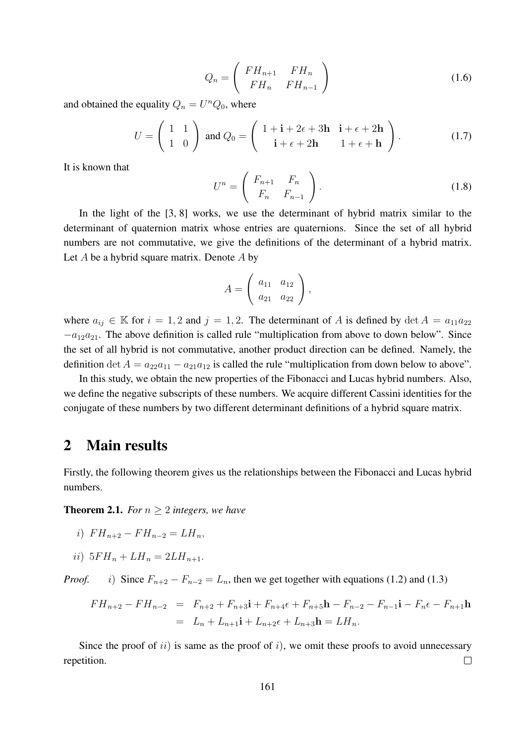$$
Q_n = \left(\begin{array}{cc} FH_{n+1} & FH_n \\ FH_n & FH_{n-1} \end{array}\right) \tag{1.6}
$$

and obtained the equality  $Q_n = U^n Q_0$ , where

$$
U = \begin{pmatrix} 1 & 1 \\ 1 & 0 \end{pmatrix} \text{ and } Q_0 = \begin{pmatrix} 1 + \mathbf{i} + 2\epsilon + 3\mathbf{h} & \mathbf{i} + \epsilon + 2\mathbf{h} \\ \mathbf{i} + \epsilon + 2\mathbf{h} & 1 + \epsilon + \mathbf{h} \end{pmatrix}.
$$
 (1.7)

It is known that

$$
U^n = \left(\begin{array}{cc} F_{n+1} & F_n \\ F_n & F_{n-1} \end{array}\right). \tag{1.8}
$$

In the light of the [3, 8] works, we use the determinant of hybrid matrix similar to the determinant of quaternion matrix whose entries are quaternions. Since the set of all hybrid numbers are not commutative, we give the definitions of the determinant of a hybrid matrix. Let  $A$  be a hybrid square matrix. Denote  $A$  by

$$
A = \left( \begin{array}{cc} a_{11} & a_{12} \\ a_{21} & a_{22} \end{array} \right),
$$

where  $a_{ij} \in \mathbb{K}$  for  $i = 1, 2$  and  $j = 1, 2$ . The determinant of A is defined by  $\det A = a_{11}a_{22}$  $-a_{12}a_{21}$ . The above definition is called rule "multiplication from above to down below". Since the set of all hybrid is not commutative, another product direction can be defined. Namely, the definition det  $A = a_{22}a_{11} - a_{21}a_{12}$  is called the rule "multiplication from down below to above".

In this study, we obtain the new properties of the Fibonacci and Lucas hybrid numbers. Also, we define the negative subscripts of these numbers. We acquire different Cassini identities for the conjugate of these numbers by two different determinant definitions of a hybrid square matrix.

#### 2 Main results

Firstly, the following theorem gives us the relationships between the Fibonacci and Lucas hybrid numbers.

**Theorem 2.1.** *For*  $n \geq 2$  *integers, we have* 

i) 
$$
FH_{n+2} - FH_{n-2} = LH_n
$$
,

ii)  $5FH_n + LH_n = 2LH_{n+1}$ .

*Proof.* i) Since  $F_{n+2} - F_{n-2} = L_n$ , then we get together with equations (1.2) and (1.3)

$$
FH_{n+2} - FH_{n-2} = F_{n+2} + F_{n+3}i + F_{n+4}\epsilon + F_{n+5}h - F_{n-2} - F_{n-1}i - F_n\epsilon - F_{n+1}h
$$
  
=  $L_n + L_{n+1}i + L_{n+2}\epsilon + L_{n+3}h = LH_n.$ 

Since the proof of  $ii$ ) is same as the proof of  $i$ ), we omit these proofs to avoid unnecessary  $\Box$ repetition.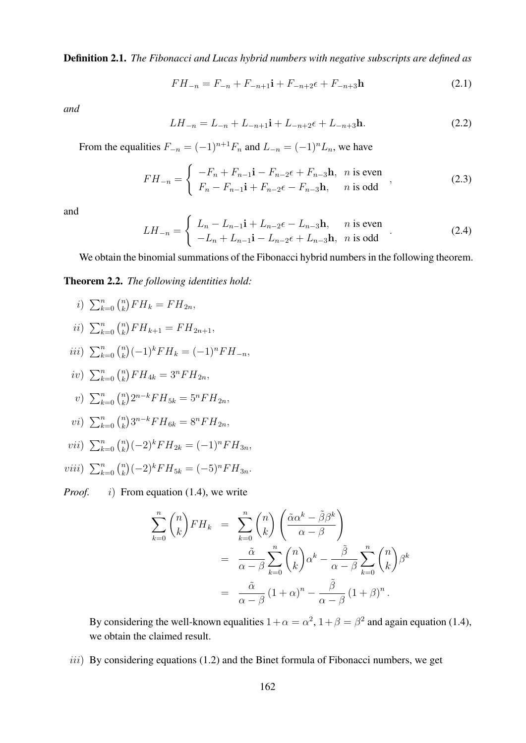Definition 2.1. *The Fibonacci and Lucas hybrid numbers with negative subscripts are defined as*

$$
FH_{-n} = F_{-n} + F_{-n+1}\mathbf{i} + F_{-n+2}\epsilon + F_{-n+3}\mathbf{h}
$$
 (2.1)

*and*

$$
LH_{-n} = L_{-n} + L_{-n+1}\mathbf{i} + L_{-n+2}\epsilon + L_{-n+3}\mathbf{h}.\tag{2.2}
$$

From the equalities  $F_{-n} = (-1)^{n+1}F_n$  and  $L_{-n} = (-1)^nL_n$ , we have

$$
FH_{-n} = \begin{cases} -F_n + F_{n-1} \mathbf{i} - F_{n-2} \epsilon + F_{n-3} \mathbf{h}, & n \text{ is even} \\ F_n - F_{n-1} \mathbf{i} + F_{n-2} \epsilon - F_{n-3} \mathbf{h}, & n \text{ is odd} \end{cases}
$$
 (2.3)

and

$$
LH_{-n} = \begin{cases} L_n - L_{n-1}\mathbf{i} + L_{n-2}\epsilon - L_{n-3}\mathbf{h}, & n \text{ is even} \\ -L_n + L_{n-1}\mathbf{i} - L_{n-2}\epsilon + L_{n-3}\mathbf{h}, & n \text{ is odd} \end{cases}
$$
 (2.4)

We obtain the binomial summations of the Fibonacci hybrid numbers in the following theorem.

Theorem 2.2. *The following identities hold:*

- i)  $\sum_{k=0}^{n} \binom{n}{k}$  $_{k}^{n}$ )  $FH_{k} = FH_{2n}$ , ii)  $\sum_{k=0}^{n} \binom{n}{k}$  ${k \choose k} FH_{k+1} = FH_{2n+1},$ iii)  $\sum_{k=0}^{n} \binom{n}{k}$  $\binom{n}{k}(-1)^kFH_k = (-1)^nFH_{-n},$  $iv)$   $\sum_{k=0}^{n}$   $\binom{n}{k}$  ${k \choose k} FH_{4k} = 3^n FH_{2n},$ v)  $\sum_{k=0}^{n} \binom{n}{k}$  ${k \choose k} 2^{n-k} FH_{5k} = 5^n FH_{2n},$ vi)  $\sum_{k=0}^{n} \binom{n}{k}$  ${k \choose k} 3^{n-k} FH_{6k} = 8^n FH_{2n},$ vii)  $\sum_{k=0}^{n} {n \choose k}$  ${k \choose k} (-2)^k FH_{2k} = (-1)^n FH_{3n},$
- viii)  $\sum_{k=0}^{n} \binom{n}{k}$  ${k \choose k} (-2)^k FH_{5k} = (-5)^n FH_{3n}.$

*Proof. i*) From equation (1.4), we write

$$
\sum_{k=0}^{n} \binom{n}{k} FH_k = \sum_{k=0}^{n} \binom{n}{k} \left( \frac{\tilde{\alpha} \alpha^k - \tilde{\beta} \beta^k}{\alpha - \beta} \right)
$$
  
= 
$$
\frac{\tilde{\alpha}}{\alpha - \beta} \sum_{k=0}^{n} \binom{n}{k} \alpha^k - \frac{\tilde{\beta}}{\alpha - \beta} \sum_{k=0}^{n} \binom{n}{k} \beta^k
$$
  
= 
$$
\frac{\tilde{\alpha}}{\alpha - \beta} (1 + \alpha)^n - \frac{\tilde{\beta}}{\alpha - \beta} (1 + \beta)^n.
$$

By considering the well-known equalities  $1 + \alpha = \alpha^2$ ,  $1 + \beta = \beta^2$  and again equation (1.4), we obtain the claimed result.

 $iii)$  By considering equations (1.2) and the Binet formula of Fibonacci numbers, we get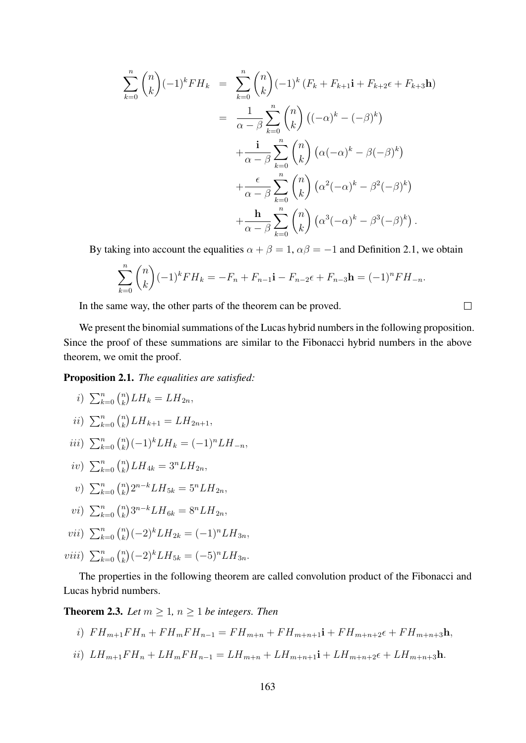$$
\sum_{k=0}^{n} {n \choose k} (-1)^k F H_k = \sum_{k=0}^{n} {n \choose k} (-1)^k (F_k + F_{k+1} \mathbf{i} + F_{k+2} \epsilon + F_{k+3} \mathbf{h})
$$
  

$$
= \frac{1}{\alpha - \beta} \sum_{k=0}^{n} {n \choose k} ((-\alpha)^k - (-\beta)^k)
$$
  

$$
+ \frac{\mathbf{i}}{\alpha - \beta} \sum_{k=0}^{n} {n \choose k} (\alpha (-\alpha)^k - \beta (-\beta)^k)
$$
  

$$
+ \frac{\epsilon}{\alpha - \beta} \sum_{k=0}^{n} {n \choose k} (\alpha^2 (-\alpha)^k - \beta^2 (-\beta)^k)
$$
  

$$
+ \frac{\mathbf{h}}{\alpha - \beta} \sum_{k=0}^{n} {n \choose k} (\alpha^3 (-\alpha)^k - \beta^3 (-\beta)^k).
$$

By taking into account the equalities  $\alpha + \beta = 1$ ,  $\alpha\beta = -1$  and Definition 2.1, we obtain

$$
\sum_{k=0}^{n} {n \choose k} (-1)^k F H_k = -F_n + F_{n-1} \mathbf{i} - F_{n-2} \epsilon + F_{n-3} \mathbf{h} = (-1)^n F H_{-n}.
$$

 $\Box$ 

In the same way, the other parts of the theorem can be proved.

We present the binomial summations of the Lucas hybrid numbers in the following proposition. Since the proof of these summations are similar to the Fibonacci hybrid numbers in the above theorem, we omit the proof.

Proposition 2.1. *The equalities are satisfied:*

$$
i) \sum_{k=0}^{n} {n \choose k} LH_k = LH_{2n},
$$

$$
ii) \ \sum_{k=0}^{n} {n \choose k} LH_{k+1} = LH_{2n+1},
$$

- iii)  $\sum_{k=0}^{n} \binom{n}{k}$  ${k \choose k} (-1)^k LH_k = (-1)^n LH_{-n},$
- $iv)$   $\sum_{k=0}^{n}$   $\binom{n}{k}$  ${k \choose k} LH_{4k} = 3^n LH_{2n},$

$$
v) \sum_{k=0}^{n} {n \choose k} 2^{n-k} L H_{5k} = 5^{n} L H_{2n},
$$

$$
vi) \sum_{k=0}^{n} {n \choose k} 3^{n-k} L H_{6k} = 8^{n} L H_{2n},
$$

- vii)  $\sum_{k=0}^{n} {n \choose k}$  ${k \choose k} (-2)^k LH_{2k} = (-1)^n LH_{3n},$
- viii)  $\sum_{k=0}^{n} {n \choose k}$  ${k \choose k} (-2)^k LH_{5k} = (-5)^n LH_{3n}.$

The properties in the following theorem are called convolution product of the Fibonacci and Lucas hybrid numbers.

**Theorem 2.3.** *Let*  $m \geq 1$ ,  $n \geq 1$  *be integers. Then* 

$$
i) \quad FH_{m+1}FH_n + FH_mFH_{n-1} = FH_{m+n} + FH_{m+n+1}i + FH_{m+n+2}\epsilon + FH_{m+n+3}h,
$$

ii)  $LH_{m+1}FH_n + LH_mFH_{n-1} = LH_{m+n} + LH_{m+n+1}i + LH_{m+n+2}\epsilon + LH_{m+n+3}h.$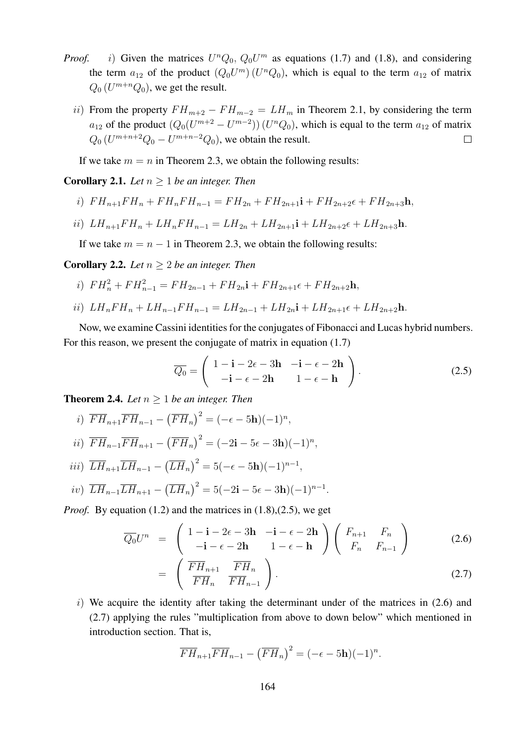- *Proof. i*) Given the matrices  $U^n Q_0$ ,  $Q_0 U^m$  as equations (1.7) and (1.8), and considering the term  $a_{12}$  of the product  $(Q_0 U^m)(U^n Q_0)$ , which is equal to the term  $a_{12}$  of matrix  $Q_0(U^{m+n}Q_0)$ , we get the result.
	- ii) From the property  $FH_{m+2} FH_{m-2} = LH_m$  in Theorem 2.1, by considering the term  $a_{12}$  of the product  $(Q_0(U^{m+2} - U^{m-2}))$   $(U^n Q_0)$ , which is equal to the term  $a_{12}$  of matrix  $Q_0(U^{m+n+2}Q_0-U^{m+n-2}Q_0)$ , we obtain the result.  $\Box$

If we take  $m = n$  in Theorem 2.3, we obtain the following results:

**Corollary 2.1.** *Let*  $n > 1$  *be an integer. Then* 

- i)  $FH_{n+1}FH_n + FH_nFH_{n-1} = FH_{2n} + FH_{2n+1}i + FH_{2n+2} \epsilon + FH_{2n+3}h,$
- ii)  $LH_{n+1}FH_n + LH_nFH_{n-1} = LH_{2n} + LH_{2n+1}i + LH_{2n+2} \epsilon + LH_{2n+3}h$ .

If we take  $m = n - 1$  in Theorem 2.3, we obtain the following results:

**Corollary 2.2.** *Let*  $n > 2$  *be an integer. Then* 

- i)  $FH_n^2 + FH_{n-1}^2 = FH_{2n-1} + FH_{2n} \mathbf{i} + FH_{2n+1} \epsilon + FH_{2n+2} \mathbf{h},$
- ii)  $LH_nFH_n + LH_{n-1}FH_{n-1} = LH_{2n-1} + LH_{2n}$ **i** +  $LH_{2n+1} \epsilon + LH_{2n+2}$ h.

Now, we examine Cassini identities for the conjugates of Fibonacci and Lucas hybrid numbers. For this reason, we present the conjugate of matrix in equation (1.7)

$$
\overline{Q_0} = \begin{pmatrix} 1 - \mathbf{i} - 2\epsilon - 3\mathbf{h} & -\mathbf{i} - \epsilon - 2\mathbf{h} \\ -\mathbf{i} - \epsilon - 2\mathbf{h} & 1 - \epsilon - \mathbf{h} \end{pmatrix}.
$$
 (2.5)

**Theorem 2.4.** *Let*  $n \geq 1$  *be an integer. Then* 

- i)  $\overline{FH}_{n+1}\overline{FH}_{n-1} (\overline{FH}_{n})^{2} = (-\epsilon 5\mathbf{h})(-1)^{n},$
- ii)  $\overline{FH}_{n-1}\overline{FH}_{n+1} (\overline{FH}_{n})^{2} = (-2i 5\epsilon 3h)(-1)^{n},$ iii)  $\overline{LH}_{n+1}\overline{LH}_{n-1} - (\overline{LH}_n)^2 = 5(-\epsilon - 5\mathbf{h})(-1)^{n-1},$
- iv)  $\overline{LH}_{n-1}\overline{LH}_{n+1} (\overline{LH}_n)^2 = 5(-2i 5\epsilon 3h)(-1)^{n-1}.$

*Proof.* By equation (1.2) and the matrices in (1.8), (2.5), we get

$$
\overline{Q_0}U^n = \begin{pmatrix} 1 - i - 2\epsilon - 3h & -i - \epsilon - 2h \\ -i - \epsilon - 2h & 1 - \epsilon - h \end{pmatrix} \begin{pmatrix} F_{n+1} & F_n \\ F_n & F_{n-1} \end{pmatrix}
$$
(2.6)

$$
= \left( \begin{array}{cc} \overline{FH}_{n+1} & \overline{FH}_{n} \\ \overline{FH}_{n} & \overline{FH}_{n-1} \end{array} \right). \tag{2.7}
$$

 $i)$  We acquire the identity after taking the determinant under of the matrices in (2.6) and (2.7) applying the rules "multiplication from above to down below" which mentioned in introduction section. That is,

$$
\overline{FH}_{n+1}\overline{FH}_{n-1} - \left(\overline{FH}_{n}\right)^{2} = (-\epsilon - 5\mathbf{h})(-1)^{n}.
$$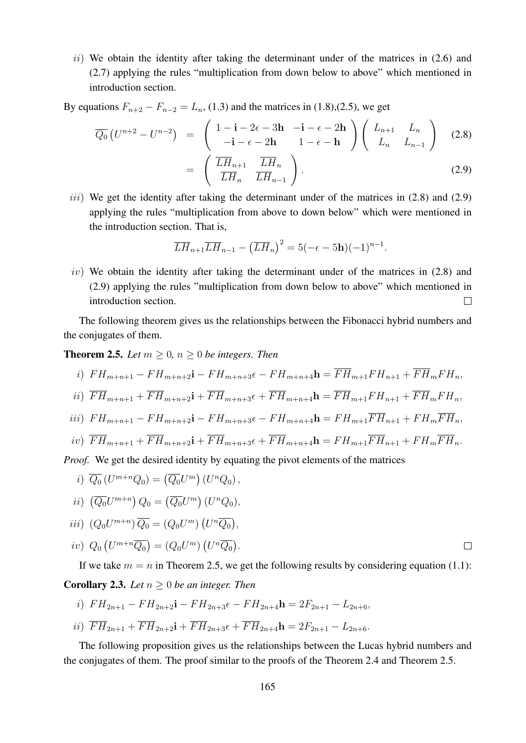$ii)$  We obtain the identity after taking the determinant under of the matrices in  $(2.6)$  and (2.7) applying the rules "multiplication from down below to above" which mentioned in introduction section.

By equations  $F_{n+2} - F_{n-2} = L_n$ , (1.3) and the matrices in (1.8),(2.5), we get

$$
\overline{Q_0}\left(U^{n+2} - U^{n-2}\right) = \begin{pmatrix} 1 - i - 2\epsilon - 3h & -i - \epsilon - 2h \\ -i - \epsilon - 2h & 1 - \epsilon - h \end{pmatrix} \begin{pmatrix} L_{n+1} & L_n \\ L_n & L_{n-1} \end{pmatrix}
$$
(2.8)  

$$
= \begin{pmatrix} \overline{L}H_{n+1} & \overline{L}H_n \\ \overline{L}H_n & \overline{L}H_{n-1} \end{pmatrix}.
$$
(2.9)

iii) We get the identity after taking the determinant under of the matrices in  $(2.8)$  and  $(2.9)$ applying the rules "multiplication from above to down below" which were mentioned in the introduction section. That is,

$$
\overline{LH}_{n+1}\overline{LH}_{n-1} - \left(\overline{LH}_n\right)^2 = 5(-\epsilon - 5\mathbf{h})(-1)^{n-1}.
$$

 $iv)$  We obtain the identity after taking the determinant under of the matrices in  $(2.8)$  and (2.9) applying the rules "multiplication from down below to above" which mentioned in introduction section.  $\Box$ 

The following theorem gives us the relationships between the Fibonacci hybrid numbers and the conjugates of them.

**Theorem 2.5.** *Let*  $m \geq 0$ ,  $n \geq 0$  *be integers. Then* 

$$
i) \quad FH_{m+n+1} - FH_{m+n+2}\mathbf{i} - FH_{m+n+3}\epsilon - FH_{m+n+4}\mathbf{h} = \overline{FH}_{m+1}FH_{n+1} + \overline{FH}_{m}FH_{n},
$$

$$
ii) \ \overline{FH}_{m+n+1} + \overline{FH}_{m+n+2}\mathbf{i} + \overline{FH}_{m+n+3}\epsilon + \overline{FH}_{m+n+4}\mathbf{h} = \overline{FH}_{m+1}F\mathbf{H}_{n+1} + \overline{FH}_{m}F\mathbf{H}_{n},
$$

$$
iii) \quad FH_{m+n+1} - FH_{m+n+2}\mathbf{i} - FH_{m+n+3}\epsilon - FH_{m+n+4}\mathbf{h} = FH_{m+1}\overline{FH}_{n+1} + FH_m\overline{FH}_n,
$$

$$
iv) \ \overline{FH}_{m+n+1} + \overline{FH}_{m+n+2}\mathbf{i} + \overline{FH}_{m+n+3}\epsilon + \overline{FH}_{m+n+4}\mathbf{h} = FH_{m+1}\overline{FH}_{n+1} + FH_m\overline{FH}_n.
$$

*Proof.* We get the desired identity by equating the pivot elements of the matrices

$$
i) \overline{Q_0} (U^{m+n} Q_0) = \left(\overline{Q_0} U^m\right) (U^n Q_0) ,
$$

$$
ii) \left(\overline{Q_0}U^{m+n}\right)Q_0 = \left(\overline{Q_0}U^m\right)(U^nQ_0),
$$

$$
iii) (Q_0U^{m+n})\overline{Q_0} = (Q_0U^m) (U^n\overline{Q_0}),
$$

$$
iv) Q_0(U^{m+n}\overline{Q_0}) = (Q_0U^m)(U^n\overline{Q_0}).
$$

If we take  $m = n$  in Theorem 2.5, we get the following results by considering equation (1.1): **Corollary 2.3.** *Let*  $n > 0$  *be an integer. Then* 

- i)  $FH_{2n+1} FH_{2n+2}i FH_{2n+3} \epsilon FH_{2n+4}h = 2F_{2n+1} L_{2n+6}$
- ii)  $\overline{FH}_{2n+1} + \overline{FH}_{2n+2}$ **i** +  $\overline{FH}_{2n+3}$  $\epsilon$  +  $\overline{FH}_{2n+4}$ **h** =  $2F_{2n+1} L_{2n+6}$ .

The following proposition gives us the relationships between the Lucas hybrid numbers and the conjugates of them. The proof similar to the proofs of the Theorem 2.4 and Theorem 2.5.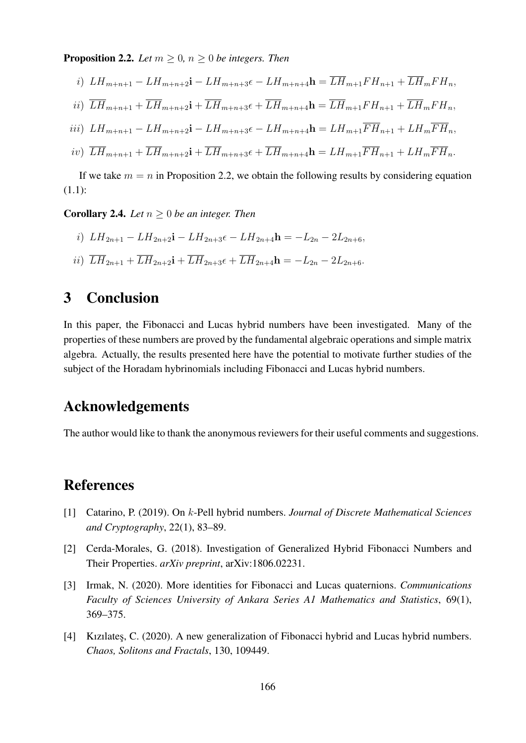**Proposition 2.2.** *Let*  $m \geq 0$ *,*  $n \geq 0$  *be integers. Then* 

$$
i) \ LH_{m+n+1} - LH_{m+n+2}\mathbf{i} - LH_{m+n+3}\epsilon - LH_{m+n+4}\mathbf{h} = \overline{LH}_{m+1}FH_{n+1} + \overline{LH}_mFH_n,
$$

$$
ii) \ \ \overline{L}\overline{H}_{m+n+1} + \overline{L}\overline{H}_{m+n+2}\mathbf{i} + \overline{L}\overline{H}_{m+n+3}\epsilon + \overline{L}\overline{H}_{m+n+4}\mathbf{h} = \overline{L}\overline{H}_{m+1}F\overline{H}_{n+1} + \overline{L}\overline{H}_{m}F\overline{H}_{n},
$$

$$
iii) \ LH_{m+n+1} - LH_{m+n+2}\mathbf{i} - LH_{m+n+3}\epsilon - LH_{m+n+4}\mathbf{h} = LH_{m+1}\overline{FH}_{n+1} + LH_m\overline{FH}_n,
$$

$$
iv)\ \ \overline{L}\overline{H}_{m+n+1}+\overline{L}\overline{H}_{m+n+2}{\bf i}+\overline{L}\overline{H}_{m+n+3}\epsilon+\overline{L}\overline{H}_{m+n+4}{\bf h}=L\overline{H}_{m+1}\overline{F}\overline{H}_{n+1}+L\overline{H}_{m}\overline{F}\overline{H}_{n}.
$$

If we take  $m = n$  in Proposition 2.2, we obtain the following results by considering equation (1.1):

**Corollary 2.4.** *Let*  $n \geq 0$  *be an integer. Then* 

*i)* 
$$
LH_{2n+1} - LH_{2n+2}\mathbf{i} - LH_{2n+3}\epsilon - LH_{2n+4}\mathbf{h} = -L_{2n} - 2L_{2n+6},
$$

$$
ii) \ \overline{LH}_{2n+1} + \overline{LH}_{2n+2}\mathbf{i} + \overline{LH}_{2n+3}\epsilon + \overline{LH}_{2n+4}\mathbf{h} = -L_{2n} - 2L_{2n+6}.
$$

## 3 Conclusion

In this paper, the Fibonacci and Lucas hybrid numbers have been investigated. Many of the properties of these numbers are proved by the fundamental algebraic operations and simple matrix algebra. Actually, the results presented here have the potential to motivate further studies of the subject of the Horadam hybrinomials including Fibonacci and Lucas hybrid numbers.

## Acknowledgements

The author would like to thank the anonymous reviewers for their useful comments and suggestions.

## References

- [1] Catarino, P. (2019). On k-Pell hybrid numbers. *Journal of Discrete Mathematical Sciences and Cryptography*, 22(1), 83–89.
- [2] Cerda-Morales, G. (2018). Investigation of Generalized Hybrid Fibonacci Numbers and Their Properties. *arXiv preprint*, arXiv:1806.02231.
- [3] Irmak, N. (2020). More identities for Fibonacci and Lucas quaternions. *Communications Faculty of Sciences University of Ankara Series A1 Mathematics and Statistics*, 69(1), 369–375.
- [4] Kizilates, C. (2020). A new generalization of Fibonacci hybrid and Lucas hybrid numbers. *Chaos, Solitons and Fractals*, 130, 109449.